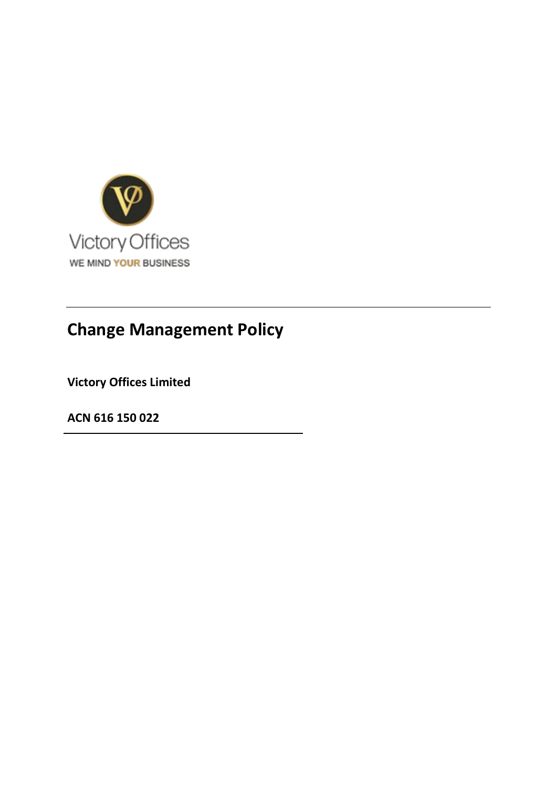

# **Change Management Policy**

**Victory Offices Limited** 

**ACN 616 150 022**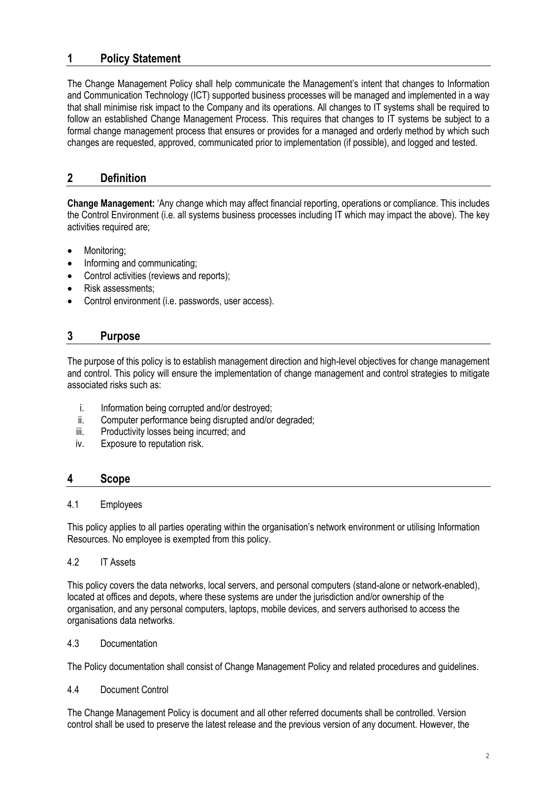# **1 Policy Statement**

The Change Management Policy shall help communicate the Management's intent that changes to Information and Communication Technology (ICT) supported business processes will be managed and implemented in a way that shall minimise risk impact to the Company and its operations. All changes to IT systems shall be required to follow an established Change Management Process. This requires that changes to IT systems be subject to a formal change management process that ensures or provides for a managed and orderly method by which such changes are requested, approved, communicated prior to implementation (if possible), and logged and tested.

# **2 Definition**

**Change Management:** 'Any change which may affect financial reporting, operations or compliance. This includes the Control Environment (i.e. all systems business processes including IT which may impact the above). The key activities required are;

- Monitoring;
- Informing and communicating;
- Control activities (reviews and reports);
- Risk assessments;
- Control environment (i.e. passwords, user access).

## **3 Purpose**

The purpose of this policy is to establish management direction and high-level objectives for change management and control. This policy will ensure the implementation of change management and control strategies to mitigate associated risks such as:

- i. Information being corrupted and/or destroyed;
- ii. Computer performance being disrupted and/or degraded;
- iii. Productivity losses being incurred; and
- iv. Exposure to reputation risk.

## **4 Scope**

#### 4.1 Employees

This policy applies to all parties operating within the organisation's network environment or utilising Information Resources. No employee is exempted from this policy.

#### 4.2 IT Assets

This policy covers the data networks, local servers, and personal computers (stand-alone or network-enabled), located at offices and depots, where these systems are under the jurisdiction and/or ownership of the organisation, and any personal computers, laptops, mobile devices, and servers authorised to access the organisations data networks.

#### 4.3 Documentation

The Policy documentation shall consist of Change Management Policy and related procedures and guidelines.

#### 4.4 Document Control

The Change Management Policy is document and all other referred documents shall be controlled. Version control shall be used to preserve the latest release and the previous version of any document. However, the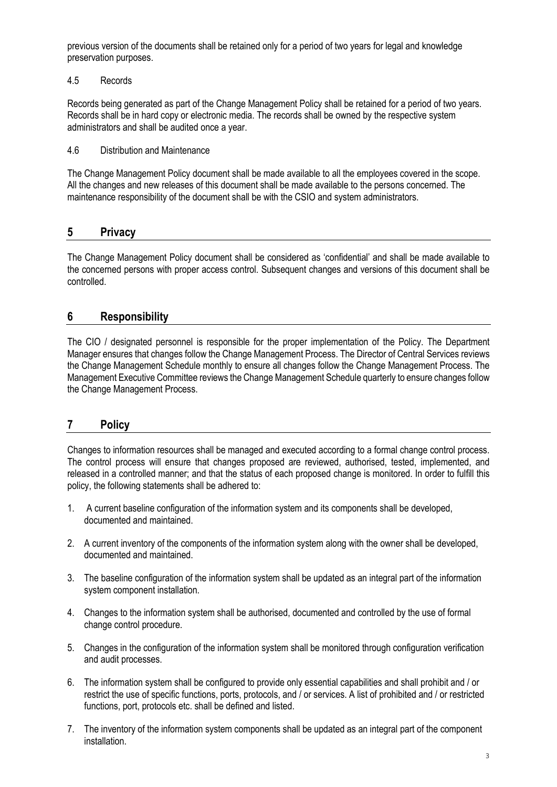previous version of the documents shall be retained only for a period of two years for legal and knowledge preservation purposes.

## 4.5 Records

Records being generated as part of the Change Management Policy shall be retained for a period of two years. Records shall be in hard copy or electronic media. The records shall be owned by the respective system administrators and shall be audited once a year.

## 4.6 Distribution and Maintenance

The Change Management Policy document shall be made available to all the employees covered in the scope. All the changes and new releases of this document shall be made available to the persons concerned. The maintenance responsibility of the document shall be with the CSIO and system administrators.

## **5 Privacy**

The Change Management Policy document shall be considered as 'confidential' and shall be made available to the concerned persons with proper access control. Subsequent changes and versions of this document shall be controlled.

## **6 Responsibility**

The CIO / designated personnel is responsible for the proper implementation of the Policy. The Department Manager ensures that changes follow the Change Management Process. The Director of Central Services reviews the Change Management Schedule monthly to ensure all changes follow the Change Management Process. The Management Executive Committee reviews the Change Management Schedule quarterly to ensure changes follow the Change Management Process.

# **7 Policy**

Changes to information resources shall be managed and executed according to a formal change control process. The control process will ensure that changes proposed are reviewed, authorised, tested, implemented, and released in a controlled manner; and that the status of each proposed change is monitored. In order to fulfill this policy, the following statements shall be adhered to:

- 1. A current baseline configuration of the information system and its components shall be developed, documented and maintained.
- 2. A current inventory of the components of the information system along with the owner shall be developed, documented and maintained.
- 3. The baseline configuration of the information system shall be updated as an integral part of the information system component installation.
- 4. Changes to the information system shall be authorised, documented and controlled by the use of formal change control procedure.
- 5. Changes in the configuration of the information system shall be monitored through configuration verification and audit processes.
- 6. The information system shall be configured to provide only essential capabilities and shall prohibit and / or restrict the use of specific functions, ports, protocols, and / or services. A list of prohibited and / or restricted functions, port, protocols etc. shall be defined and listed.
- 7. The inventory of the information system components shall be updated as an integral part of the component installation.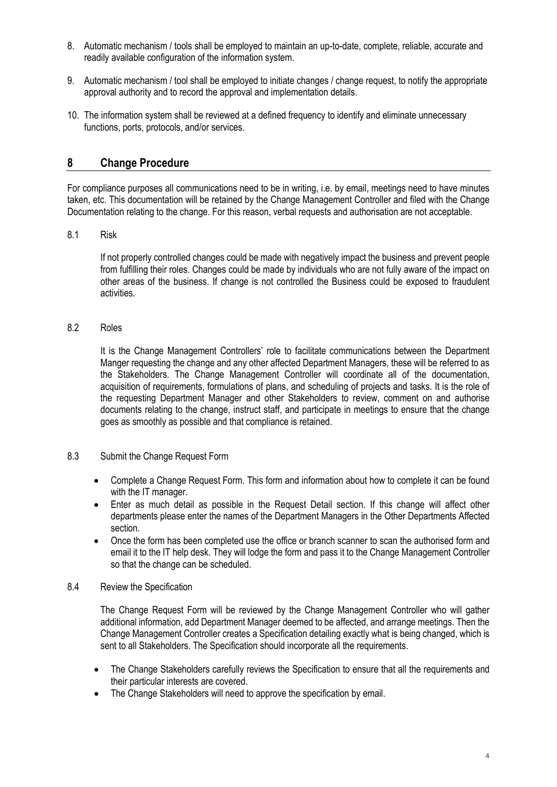- 8. Automatic mechanism / tools shall be employed to maintain an up-to-date, complete, reliable, accurate and readily available configuration of the information system.
- 9. Automatic mechanism / tool shall be employed to initiate changes / change request, to notify the appropriate approval authority and to record the approval and implementation details.
- 10. The information system shall be reviewed at a defined frequency to identify and eliminate unnecessary functions, ports, protocols, and/or services.

## **8 Change Procedure**

For compliance purposes all communications need to be in writing, i.e. by email, meetings need to have minutes taken, etc. This documentation will be retained by the Change Management Controller and filed with the Change Documentation relating to the change. For this reason, verbal requests and authorisation are not acceptable.

8.1 Risk

If not properly controlled changes could be made with negatively impact the business and prevent people from fulfilling their roles. Changes could be made by individuals who are not fully aware of the impact on other areas of the business. If change is not controlled the Business could be exposed to fraudulent activities.

8.2 Roles

It is the Change Management Controllers' role to facilitate communications between the Department Manger requesting the change and any other affected Department Managers, these will be referred to as the Stakeholders. The Change Management Controller will coordinate all of the documentation, acquisition of requirements, formulations of plans, and scheduling of projects and tasks. It is the role of the requesting Department Manager and other Stakeholders to review, comment on and authorise documents relating to the change, instruct staff, and participate in meetings to ensure that the change goes as smoothly as possible and that compliance is retained.

- 8.3 Submit the Change Request Form
	- Complete a Change Request Form. This form and information about how to complete it can be found with the IT manager.
	- Enter as much detail as possible in the Request Detail section. If this change will affect other departments please enter the names of the Department Managers in the Other Departments Affected section.
	- Once the form has been completed use the office or branch scanner to scan the authorised form and email it to the IT help desk. They will lodge the form and pass it to the Change Management Controller so that the change can be scheduled.
- 8.4 Review the Specification

The Change Request Form will be reviewed by the Change Management Controller who will gather additional information, add Department Manager deemed to be affected, and arrange meetings. Then the Change Management Controller creates a Specification detailing exactly what is being changed, which is sent to all Stakeholders. The Specification should incorporate all the requirements.

- The Change Stakeholders carefully reviews the Specification to ensure that all the requirements and their particular interests are covered.
- The Change Stakeholders will need to approve the specification by email.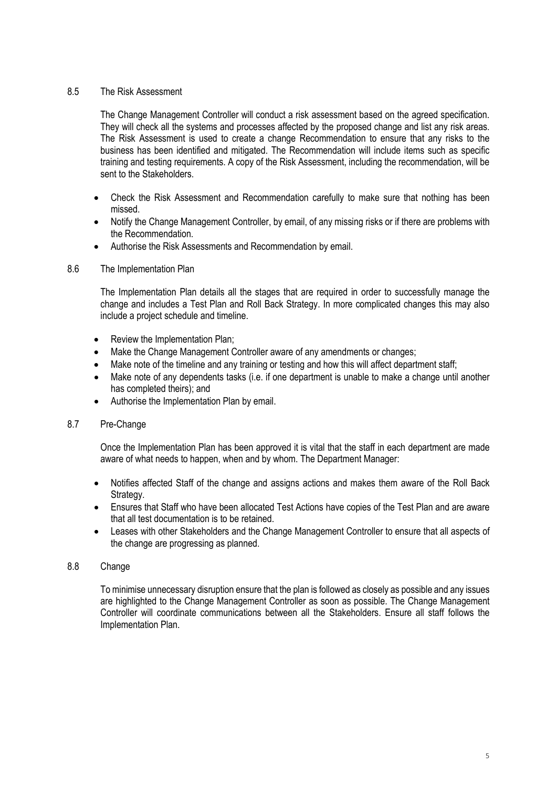## 8.5 The Risk Assessment

The Change Management Controller will conduct a risk assessment based on the agreed specification. They will check all the systems and processes affected by the proposed change and list any risk areas. The Risk Assessment is used to create a change Recommendation to ensure that any risks to the business has been identified and mitigated. The Recommendation will include items such as specific training and testing requirements. A copy of the Risk Assessment, including the recommendation, will be sent to the Stakeholders.

- Check the Risk Assessment and Recommendation carefully to make sure that nothing has been missed.
- Notify the Change Management Controller, by email, of any missing risks or if there are problems with the Recommendation.
- Authorise the Risk Assessments and Recommendation by email.

## 8.6 The Implementation Plan

The Implementation Plan details all the stages that are required in order to successfully manage the change and includes a Test Plan and Roll Back Strategy. In more complicated changes this may also include a project schedule and timeline.

- Review the Implementation Plan;
- Make the Change Management Controller aware of any amendments or changes;
- Make note of the timeline and any training or testing and how this will affect department staff:
- Make note of any dependents tasks (i.e. if one department is unable to make a change until another has completed theirs); and
- Authorise the Implementation Plan by email.

#### 8.7 Pre-Change

Once the Implementation Plan has been approved it is vital that the staff in each department are made aware of what needs to happen, when and by whom. The Department Manager:

- Notifies affected Staff of the change and assigns actions and makes them aware of the Roll Back Strategy.
- Ensures that Staff who have been allocated Test Actions have copies of the Test Plan and are aware that all test documentation is to be retained.
- Leases with other Stakeholders and the Change Management Controller to ensure that all aspects of the change are progressing as planned.

#### 8.8 Change

To minimise unnecessary disruption ensure that the plan is followed as closely as possible and any issues are highlighted to the Change Management Controller as soon as possible. The Change Management Controller will coordinate communications between all the Stakeholders. Ensure all staff follows the Implementation Plan.